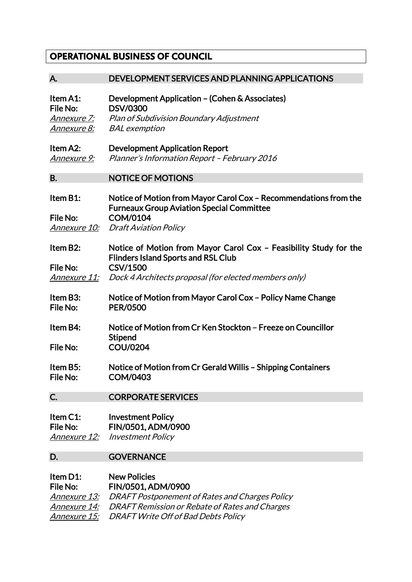## **OPERATIONAL BUSINESS OF COUNCIL**

## A. DEVELOPMENT SERVICES AND PLANNING APPLICATIONS Item A1: Development Application – (Cohen & Associates) File No: DSV/0300 Annexure 7: Plan of Subdivision Boundary Adjustment Annexure 8: BAL exemption Item A2: Development Application Report Annexure 9: Planner's Information Report – February 2016 B. NOTICE OF MOTIONS Item B1: Notice of Motion from Mayor Carol Cox – Recommendations from the Furneaux Group Aviation Special Committee File No: COM/0104 Annexure 10: Draft Aviation Policy Item B2: Notice of Motion from Mayor Carol Cox – Feasibility Study for the Flinders Island Sports and RSL Club File No: CSV/1500 Annexure 11: Dock 4 Architects proposal (for elected members only) Item B3: Notice of Motion from Mayor Carol Cox – Policy Name Change File No: PER/0500 Item B4: Notice of Motion from Cr Ken Stockton – Freeze on Councillor **Stipend** File No: COU/0204 Item B5: Notice of Motion from Cr Gerald Willis – Shipping Containers File No: COM/0403 C. CORPORATE SERVICES Item C1: Investment Policy File No: FIN/0501, ADM/0900 Annexure 12: Investment Policy D. **GOVERNANCE** Item D1: New Policies File No: FIN/0501, ADM/0900 Annexure 13: DRAFT Postponement of Rates and Charges Policy Annexure 14: DRAFT Remission or Rebate of Rates and Charges

Annexure 15: DRAFT Write Off of Bad Debts Policy